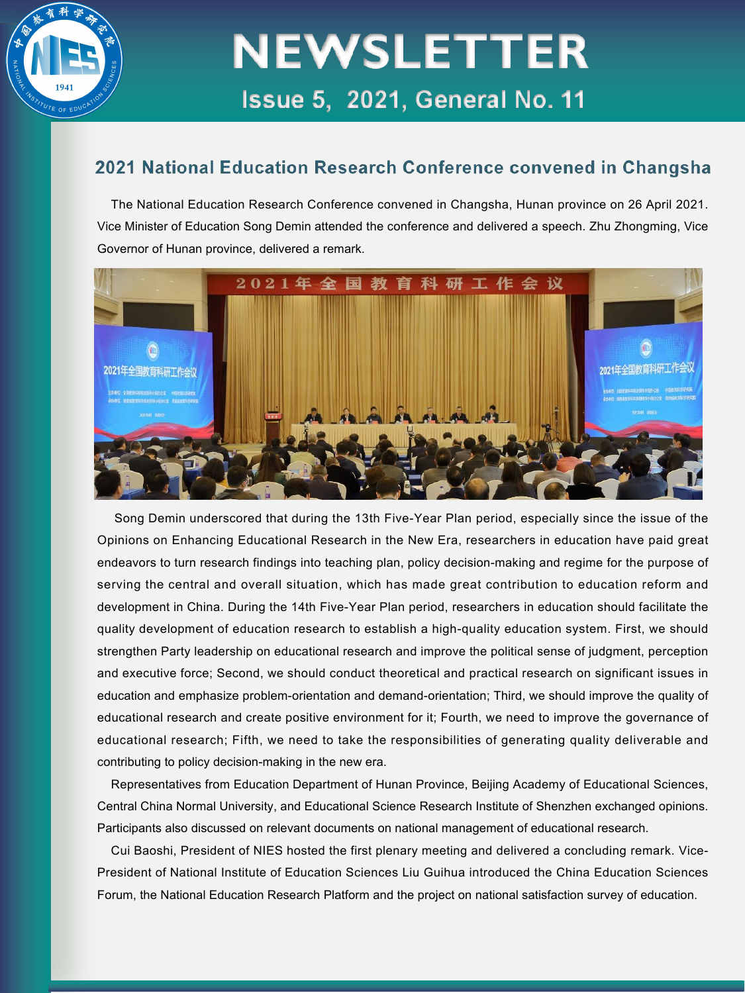

#### 2021 National Education Research Conference convened in Changsha

The National Education Research Conference convened in Changsha, Hunan province on 26 April 2021. Vice Minister of Education Song Demin attended the conference and delivered a speech. Zhu Zhongming, Vice Governor of Hunan province, delivered a remark.



Song Demin underscored that during the 13th Five-Year Plan period, especially since the issue of the Opinions on Enhancing Educational Research in the New Era, researchers in education have paid great<br>endeavors to turn research findings into teaching plan, policy decision-making and regime for the purpose of<br>serving the c development in China. During the 14th Five-Year Plan period, researchers in education should facilitate the quality development of education research to establish a high-quality education system. First, we should strengthen Party leadership on educational research and improve the political sense of judgment, perception and executive force; Second, we should conduct theoretical and practical research on significant issues in education and emphasize problem-orientation and demand-orientation; Third, we should improve the quality of educational research and create positive environment for it; Fourth, we need to improve the governance of educational research; Fifth, we need to take the responsibilities of generating quality deliverable and contributing to policy decision-making in the new era.

Representatives from Education Department of Hunan Province, Beijing Academy of Educational Sciences, Central China Normal University, and Educational Science Research Institute of Shenzhen exchanged opinions. Participants also discussed on relevant documents on national management of educational research.

Cui Baoshi, President of NIES hosted the first plenary meeting and delivered a concluding remark. Vice- President of National Institute of Education Sciences Liu Guihua introduced the China Education Sciences Forum, the National Education Research Platform and the project on national satisfaction survey of education.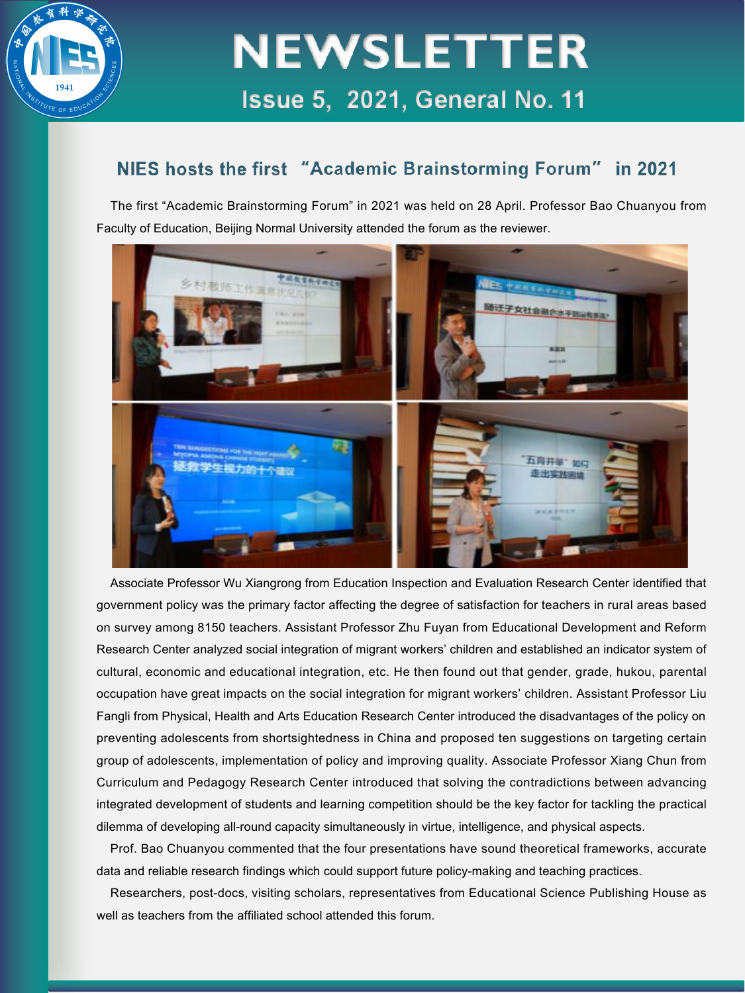

#### NIES hosts the first "Academic Brainstorming Forum" in 2021

The first "Academic Brainstorming Forum" in 2021 was held on 28 April. Professor Bao Chuanyou from Faculty of Education, Beijing Normal University attended the forum as the reviewer.



Associate Professor Wu Xiangrong from Education Inspection and Evaluation Research Center identified that government policy was the primary factor affecting the degree of satisfaction for teachers in rural areas based on survey among 8150 teachers. Assistant Professor Zhu Fuyan from Educational Development and Reform Research Center analyzed social integration of migrant workers' children and established an indicator system of cultural, economic and educational integration, etc. He then found out that gender, grade, hukou, parental occupation have great impacts on the social integration for migrantworkers' children. Assistant Professor Liu Fangli from Physical, Health and Arts Education Research Center introduced the disadvantages of the policy on preventing adolescents from shortsightedness in China and proposed ten suggestions on targeting certain group of adolescents, implementation of policy and improving quality. Associate Professor Xiang Chun from Curriculum and Pedagogy Research Center introduced that solving the contradictions between advancing integrated development of students and learning competition should be the key factor for tackling the practical dilemma of developing all-round capacity simultaneously in virtue, intelligence, and physical aspects.

Prof. Bao Chuanyou commented that the four presentations have sound theoretical frameworks, accurate data and reliable research findings which could support future policy-making and teaching practices.

Researchers, post-docs, visiting scholars, representatives from Educational Science Publishing House as well as teachers from the affiliated school attended this forum.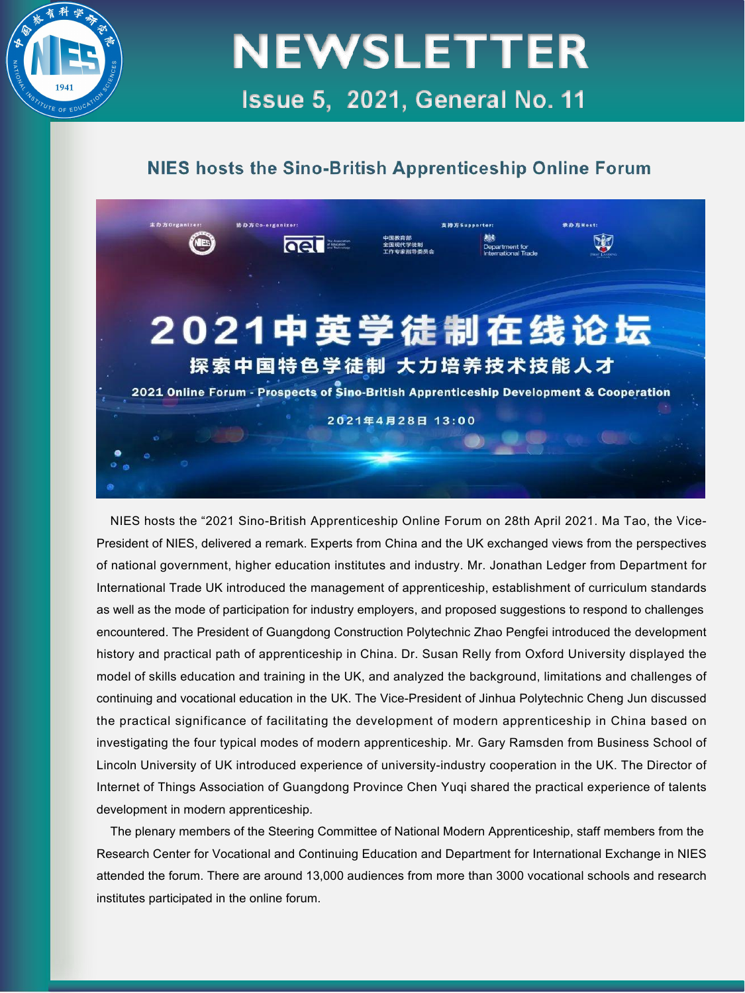

#### NIES hosts the Sino-British Apprenticeship Online Forum



NIES hosts the "2021 Sino-British Apprenticeship Online Forum on 28th April 2021. Ma Tao, the Vice- President of NIES, delivered a remark. Experts from China and the UK exchanged views from the perspectives of national government, higher education institutes and industry. Mr. Jonathan Ledger from Department for International Trade UK introduced the management of apprenticeship, establishment of curriculum standards as well as the mode of participation for industry employers, and proposed suggestions to respond to challenges encountered. The President of Guangdong Construction Polytechnic Zhao Pengfei introduced the development history and practical path of apprenticeship in China. Dr. Susan Relly from Oxford University displayed the model of skills education and training in the UK, and analyzed the background, limitations and challenges of continuing and vocational education in the UK. The Vice-President of Jinhua Polytechnic Cheng Jun discussed the practical significance of facilitating the development of modern apprenticeship in China based on investigating the four typical modes of modern apprenticeship. Mr. Gary Ramsden from Business School of Lincoln University of UK introduced experience of university-industry cooperation in the UK. The Director of Internet of Things Association of Guangdong Province Chen Yuqi shared the practical experience of talents development in modern apprenticeship.

The plenary members of the Steering Committee of National Modern Apprenticeship, staff members from the Research Center for Vocational and Continuing Education and Department for International Exchange in NIES attended the forum. There are around 13,000 audiences from more than 3000 vocational schools and research institutes participated in the online forum.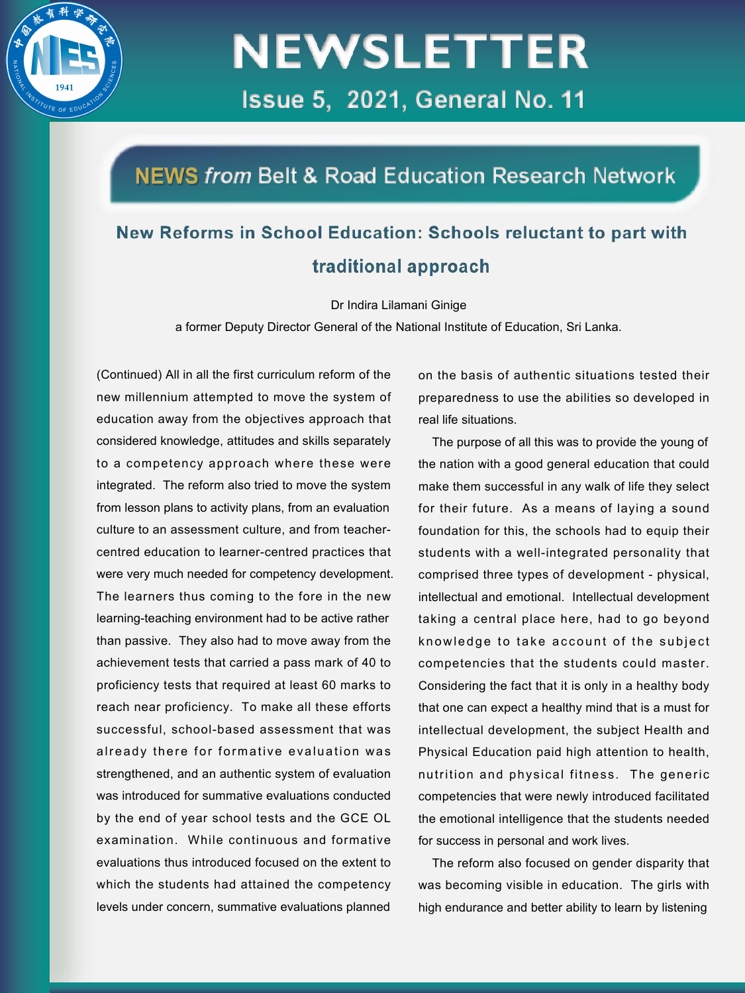

### NEWS from Belt & Road Education Research Network

### New Reforms in School Education: Schools reluctant to part with traditional approach

Dr Indira Lilamani Ginige

a former Deputy Director General of the National Institute of Education, Sri Lanka.

(Continued) All in all the first curriculum reform of the new millennium attempted to move the system of education away from the objectives approach that considered knowledge, attitudes and skills separately to a competency approach where these were integrated. The reform also tried to move the system from lesson plans to activity plans, from an evaluation culture to an assessment culture, and from teacher centred education to learner-centred practices that were very much needed for competency development. The learners thus coming to the fore in the new learning-teaching environment had to be active rather than passive. They also had to move away from the achievement tests that carried a pass mark of 40 to proficiency tests that required at least 60 marks to reach near proficiency. To make all these efforts successful, school-based assessment that was already there for formative evaluation was strengthened, and an authentic system of evaluation was introduced for summative evaluations conducted by the end of year school tests and the GCE OL examination. While continuous and formative evaluations thus introduced focused on the extent to which the students had attained the competency levels under concern, summative evaluations planned

on the basis of authentic situations tested their preparedness to use the abilities so developed in real life situations.

The purpose of all this was to provide the young of the nation with a good general education that could make them successful in any walk of life they select for their future. As a means of laying a sound foundation for this, the schools had to equip their students with a well-integrated personality that comprised three types of development - physical, intellectual and emotional. Intellectual development taking a central place here, had to go beyond knowledge to take account of the subject competencies that the students could master. Considering the fact that it is only in a healthy body that one can expect a healthy mind that is a must for intellectual development, the subject Health and Physical Education paid high attention to health, nutrition and physical fitness. The generic competencies that were newly introduced facilitated the emotional intelligence that the students needed for success in personal and work lives.

The reform also focused on gender disparity that was becoming visible in education. The girls with high endurance and better ability to learn by listening